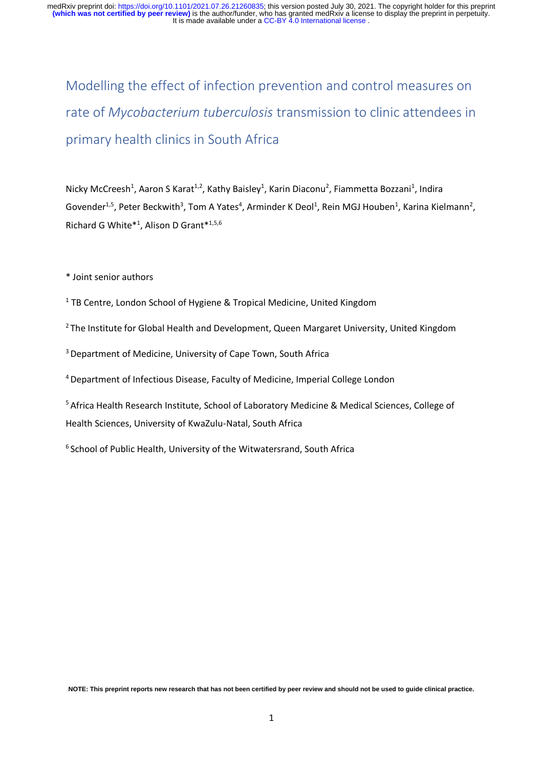Modelling the effect of infection prevention and control measures on rate of *Mycobacterium tuberculosis* transmission to clinic attendees in primary health clinics in South Africa

Nicky McCreesh<sup>1</sup>, Aaron S Karat<sup>1,2</sup>, Kathy Baisley<sup>1</sup>, Karin Diaconu<sup>2</sup>, Fiammetta Bozzani<sup>1</sup>, Indira Govender<sup>1,5</sup>, Peter Beckwith<sup>3</sup>, Tom A Yates<sup>4</sup>, Arminder K Deol<sup>1</sup>, Rein MGJ Houben<sup>1</sup>, Karina Kielmann<sup>2</sup>, Richard G White\*<sup>1</sup> , Alison D Grant\*1,5,6

\* Joint senior authors

- <sup>1</sup> TB Centre, London School of Hygiene & Tropical Medicine, United Kingdom
- $2$ The Institute for Global Health and Development, Queen Margaret University, United Kingdom

<sup>3</sup> Department of Medicine, University of Cape Town, South Africa

<sup>4</sup>Department of Infectious Disease, Faculty of Medicine, Imperial College London

<sup>5</sup> Africa Health Research Institute, School of Laboratory Medicine & Medical Sciences, College of Health Sciences, University of KwaZulu-Natal, South Africa

<sup>6</sup> School of Public Health, University of the Witwatersrand, South Africa

**NOTE: This preprint reports new research that has not been certified by peer review and should not be used to guide clinical practice.**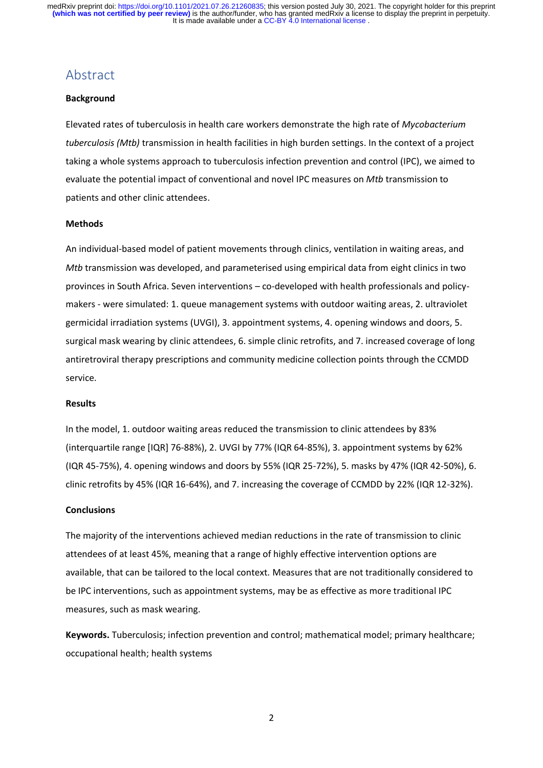## Abstract

#### **Background**

Elevated rates of tuberculosis in health care workers demonstrate the high rate of *Mycobacterium tuberculosis (Mtb)* transmission in health facilities in high burden settings. In the context of a project taking a whole systems approach to tuberculosis infection prevention and control (IPC), we aimed to evaluate the potential impact of conventional and novel IPC measures on *Mtb* transmission to patients and other clinic attendees.

#### **Methods**

An individual-based model of patient movements through clinics, ventilation in waiting areas, and *Mtb* transmission was developed, and parameterised using empirical data from eight clinics in two provinces in South Africa. Seven interventions – co-developed with health professionals and policymakers - were simulated: 1. queue management systems with outdoor waiting areas, 2. ultraviolet germicidal irradiation systems (UVGI), 3. appointment systems, 4. opening windows and doors, 5. surgical mask wearing by clinic attendees, 6. simple clinic retrofits, and 7. increased coverage of long antiretroviral therapy prescriptions and community medicine collection points through the CCMDD service.

#### **Results**

In the model, 1. outdoor waiting areas reduced the transmission to clinic attendees by 83% (interquartile range [IQR] 76-88%), 2. UVGI by 77% (IQR 64-85%), 3. appointment systems by 62% (IQR 45-75%), 4. opening windows and doors by 55% (IQR 25-72%), 5. masks by 47% (IQR 42-50%), 6. clinic retrofits by 45% (IQR 16-64%), and 7. increasing the coverage of CCMDD by 22% (IQR 12-32%).

#### **Conclusions**

The majority of the interventions achieved median reductions in the rate of transmission to clinic attendees of at least 45%, meaning that a range of highly effective intervention options are available, that can be tailored to the local context. Measures that are not traditionally considered to be IPC interventions, such as appointment systems, may be as effective as more traditional IPC measures, such as mask wearing.

**Keywords.** Tuberculosis; infection prevention and control; mathematical model; primary healthcare; occupational health; health systems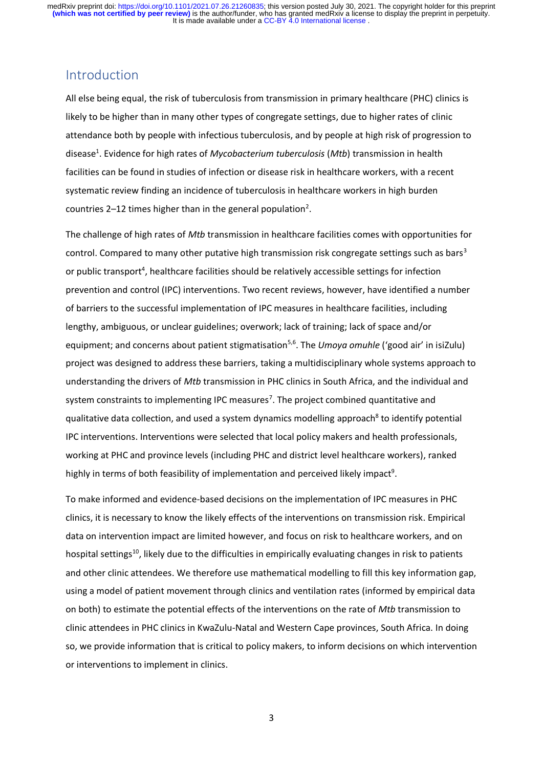## Introduction

All else being equal, the risk of tuberculosis from transmission in primary healthcare (PHC) clinics is likely to be higher than in many other types of congregate settings, due to higher rates of clinic attendance both by people with infectious tuberculosis, and by people at high risk of progression to disease<sup>1</sup>. Evidence for high rates of *Mycobacterium tuberculosis* (*Mtb*) transmission in health facilities can be found in studies of infection or disease risk in healthcare workers, with a recent systematic review finding an incidence of tuberculosis in healthcare workers in high burden countries 2-12 times higher than in the general population<sup>2</sup>.

The challenge of high rates of *Mtb* transmission in healthcare facilities comes with opportunities for control. Compared to many other putative high transmission risk congregate settings such as bars<sup>3</sup> or public transport<sup>4</sup>, healthcare facilities should be relatively accessible settings for infection prevention and control (IPC) interventions. Two recent reviews, however, have identified a number of barriers to the successful implementation of IPC measures in healthcare facilities, including lengthy, ambiguous, or unclear guidelines; overwork; lack of training; lack of space and/or equipment; and concerns about patient stigmatisation<sup>5,6</sup>. The *Umoya omuhle* ('good air' in isiZulu) project was designed to address these barriers, taking a multidisciplinary whole systems approach to understanding the drivers of *Mtb* transmission in PHC clinics in South Africa, and the individual and system constraints to implementing IPC measures<sup>7</sup>. The project combined quantitative and qualitative data collection, and used a system dynamics modelling approach<sup>8</sup> to identify potential IPC interventions. Interventions were selected that local policy makers and health professionals, working at PHC and province levels (including PHC and district level healthcare workers), ranked highly in terms of both feasibility of implementation and perceived likely impact<sup>9</sup>.

To make informed and evidence-based decisions on the implementation of IPC measures in PHC clinics, it is necessary to know the likely effects of the interventions on transmission risk. Empirical data on intervention impact are limited however, and focus on risk to healthcare workers, and on hospital settings<sup>10</sup>, likely due to the difficulties in empirically evaluating changes in risk to patients and other clinic attendees. We therefore use mathematical modelling to fill this key information gap, using a model of patient movement through clinics and ventilation rates (informed by empirical data on both) to estimate the potential effects of the interventions on the rate of *Mtb* transmission to clinic attendees in PHC clinics in KwaZulu-Natal and Western Cape provinces, South Africa. In doing so, we provide information that is critical to policy makers, to inform decisions on which intervention or interventions to implement in clinics.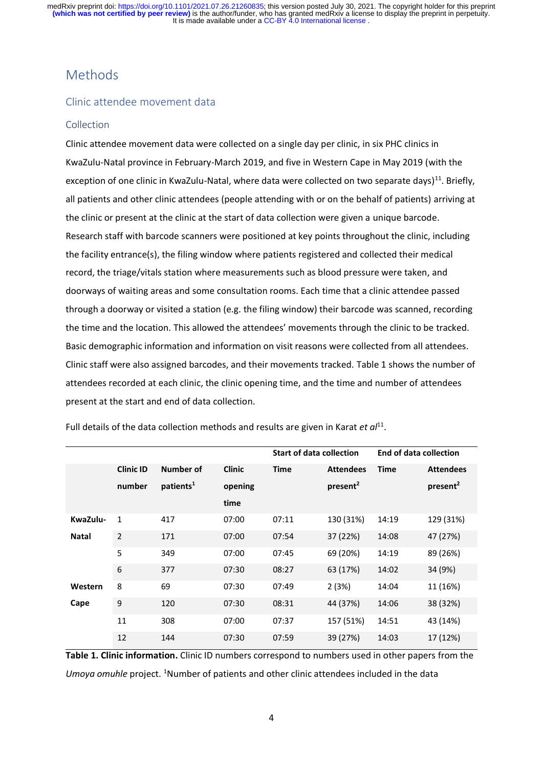# Methods

### Clinic attendee movement data

#### Collection

Clinic attendee movement data were collected on a single day per clinic, in six PHC clinics in KwaZulu-Natal province in February-March 2019, and five in Western Cape in May 2019 (with the exception of one clinic in KwaZulu-Natal, where data were collected on two separate days)<sup>11</sup>. Briefly, all patients and other clinic attendees (people attending with or on the behalf of patients) arriving at the clinic or present at the clinic at the start of data collection were given a unique barcode. Research staff with barcode scanners were positioned at key points throughout the clinic, including the facility entrance(s), the filing window where patients registered and collected their medical record, the triage/vitals station where measurements such as blood pressure were taken, and doorways of waiting areas and some consultation rooms. Each time that a clinic attendee passed through a doorway or visited a station (e.g. the filing window) their barcode was scanned, recording the time and the location. This allowed the attendees' movements through the clinic to be tracked. Basic demographic information and information on visit reasons were collected from all attendees. Clinic staff were also assigned barcodes, and their movements tracked. Table 1 shows the number of attendees recorded at each clinic, the clinic opening time, and the time and number of attendees present at the start and end of data collection.

|              |                  |                       |               | <b>Start of data collection</b> |                      | <b>End of data collection</b> |                      |
|--------------|------------------|-----------------------|---------------|---------------------------------|----------------------|-------------------------------|----------------------|
|              | <b>Clinic ID</b> | <b>Number of</b>      | <b>Clinic</b> | <b>Time</b>                     | <b>Attendees</b>     | <b>Time</b>                   | <b>Attendees</b>     |
|              | number           | patients <sup>1</sup> | opening       |                                 | present <sup>2</sup> |                               | present <sup>2</sup> |
|              |                  |                       | time          |                                 |                      |                               |                      |
| KwaZulu-     | $\mathbf{1}$     | 417                   | 07:00         | 07:11                           | 130 (31%)            | 14:19                         | 129 (31%)            |
| <b>Natal</b> | 2                | 171                   | 07:00         | 07:54                           | 37 (22%)             | 14:08                         | 47 (27%)             |
|              | 5                | 349                   | 07:00         | 07:45                           | 69 (20%)             | 14:19                         | 89 (26%)             |
|              | 6                | 377                   | 07:30         | 08:27                           | 63 (17%)             | 14:02                         | 34 (9%)              |
| Western      | 8                | 69                    | 07:30         | 07:49                           | 2(3%)                | 14:04                         | 11 (16%)             |
| Cape         | 9                | 120                   | 07:30         | 08:31                           | 44 (37%)             | 14:06                         | 38 (32%)             |
|              | 11               | 308                   | 07:00         | 07:37                           | 157 (51%)            | 14:51                         | 43 (14%)             |
|              | 12               | 144                   | 07:30         | 07:59                           | 39 (27%)             | 14:03                         | 17 (12%)             |

Full details of the data collection methods and results are given in Karat *et al*<sup>11</sup>.

**Table 1. Clinic information.** Clinic ID numbers correspond to numbers used in other papers from the Umoya omuhle project. <sup>1</sup>Number of patients and other clinic attendees included in the data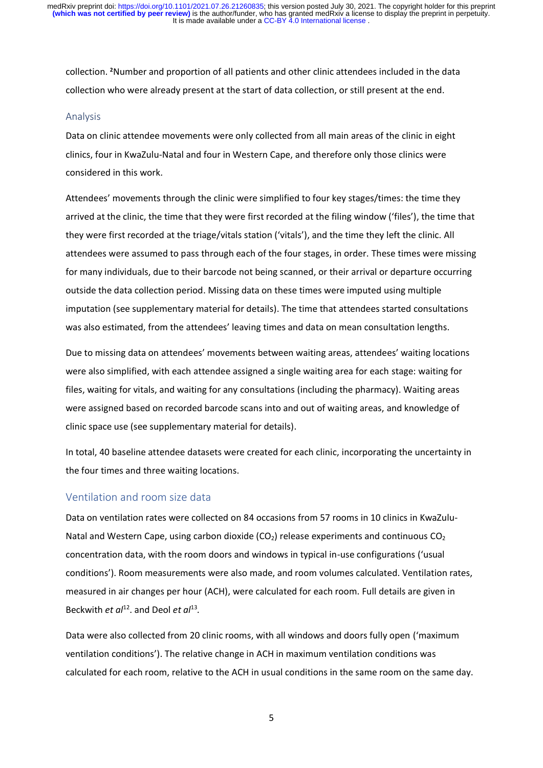collection. **<sup>2</sup>**Number and proportion of all patients and other clinic attendees included in the data collection who were already present at the start of data collection, or still present at the end.

#### Analysis

Data on clinic attendee movements were only collected from all main areas of the clinic in eight clinics, four in KwaZulu-Natal and four in Western Cape, and therefore only those clinics were considered in this work.

Attendees' movements through the clinic were simplified to four key stages/times: the time they arrived at the clinic, the time that they were first recorded at the filing window ('files'), the time that they were first recorded at the triage/vitals station ('vitals'), and the time they left the clinic. All attendees were assumed to pass through each of the four stages, in order. These times were missing for many individuals, due to their barcode not being scanned, or their arrival or departure occurring outside the data collection period. Missing data on these times were imputed using multiple imputation (see supplementary material for details). The time that attendees started consultations was also estimated, from the attendees' leaving times and data on mean consultation lengths.

Due to missing data on attendees' movements between waiting areas, attendees' waiting locations were also simplified, with each attendee assigned a single waiting area for each stage: waiting for files, waiting for vitals, and waiting for any consultations (including the pharmacy). Waiting areas were assigned based on recorded barcode scans into and out of waiting areas, and knowledge of clinic space use (see supplementary material for details).

In total, 40 baseline attendee datasets were created for each clinic, incorporating the uncertainty in the four times and three waiting locations.

#### Ventilation and room size data

Data on ventilation rates were collected on 84 occasions from 57 rooms in 10 clinics in KwaZulu-Natal and Western Cape, using carbon dioxide  $(CO_2)$  release experiments and continuous  $CO_2$ concentration data, with the room doors and windows in typical in-use configurations ('usual conditions'). Room measurements were also made, and room volumes calculated. Ventilation rates, measured in air changes per hour (ACH), were calculated for each room. Full details are given in Beckwith *et al*<sup>12</sup>. and Deol *et al*<sup>13</sup>.

Data were also collected from 20 clinic rooms, with all windows and doors fully open ('maximum ventilation conditions'). The relative change in ACH in maximum ventilation conditions was calculated for each room, relative to the ACH in usual conditions in the same room on the same day.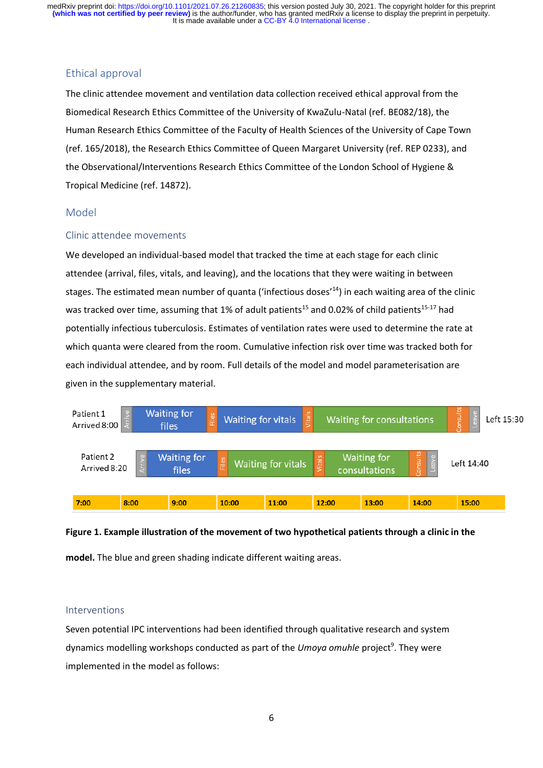## Ethical approval

The clinic attendee movement and ventilation data collection received ethical approval from the Biomedical Research Ethics Committee of the University of KwaZulu-Natal (ref. BE082/18), the Human Research Ethics Committee of the Faculty of Health Sciences of the University of Cape Town (ref. 165/2018), the Research Ethics Committee of Queen Margaret University (ref. REP 0233), and the Observational/Interventions Research Ethics Committee of the London School of Hygiene & Tropical Medicine (ref. 14872).

## Model

### Clinic attendee movements

We developed an individual-based model that tracked the time at each stage for each clinic attendee (arrival, files, vitals, and leaving), and the locations that they were waiting in between stages. The estimated mean number of quanta ('infectious doses'<sup>14</sup>) in each waiting area of the clinic was tracked over time, assuming that 1% of adult patients<sup>15</sup> and 0.02% of child patients<sup>15-17</sup> had potentially infectious tuberculosis. Estimates of ventilation rates were used to determine the rate at which quanta were cleared from the room. Cumulative infection risk over time was tracked both for each individual attendee, and by room. Full details of the model and model parameterisation are given in the supplementary material.



# **Figure 1. Example illustration of the movement of two hypothetical patients through a clinic in the**

**model.** The blue and green shading indicate different waiting areas.

## Interventions

Seven potential IPC interventions had been identified through qualitative research and system dynamics modelling workshops conducted as part of the Umoya omuhle project<sup>9</sup>. They were implemented in the model as follows: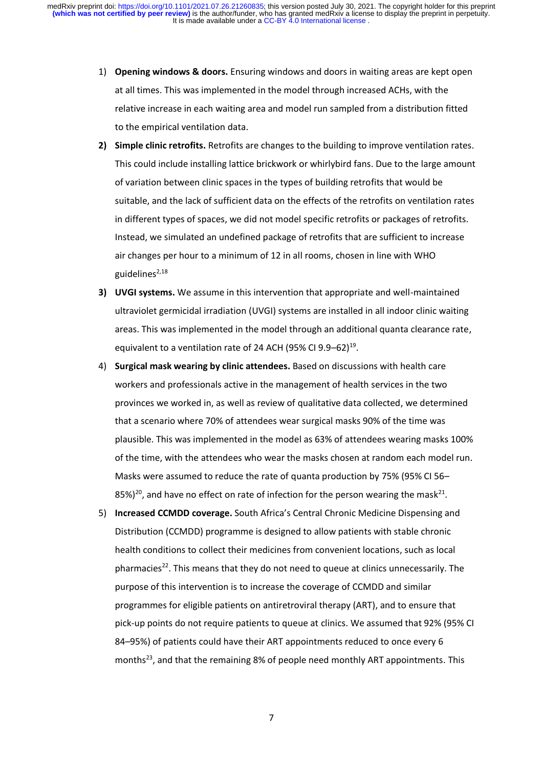- 1) **Opening windows & doors.** Ensuring windows and doors in waiting areas are kept open at all times. This was implemented in the model through increased ACHs, with the relative increase in each waiting area and model run sampled from a distribution fitted to the empirical ventilation data.
- **2) Simple clinic retrofits.** Retrofits are changes to the building to improve ventilation rates. This could include installing lattice brickwork or whirlybird fans. Due to the large amount of variation between clinic spaces in the types of building retrofits that would be suitable, and the lack of sufficient data on the effects of the retrofits on ventilation rates in different types of spaces, we did not model specific retrofits or packages of retrofits. Instead, we simulated an undefined package of retrofits that are sufficient to increase air changes per hour to a minimum of 12 in all rooms, chosen in line with WHO guidelines $^{2,18}$
- **3) UVGI systems.** We assume in this intervention that appropriate and well-maintained ultraviolet germicidal irradiation (UVGI) systems are installed in all indoor clinic waiting areas. This was implemented in the model through an additional quanta clearance rate, equivalent to a ventilation rate of 24 ACH (95% CI 9.9-62)<sup>19</sup>.
- 4) **Surgical mask wearing by clinic attendees.** Based on discussions with health care workers and professionals active in the management of health services in the two provinces we worked in, as well as review of qualitative data collected, we determined that a scenario where 70% of attendees wear surgical masks 90% of the time was plausible. This was implemented in the model as 63% of attendees wearing masks 100% of the time, with the attendees who wear the masks chosen at random each model run. Masks were assumed to reduce the rate of quanta production by 75% (95% CI 56– 85%)<sup>20</sup>, and have no effect on rate of infection for the person wearing the mask<sup>21</sup>.
- 5) **Increased CCMDD coverage.** South Africa's Central Chronic Medicine Dispensing and Distribution (CCMDD) programme is designed to allow patients with stable chronic health conditions to collect their medicines from convenient locations, such as local pharmacies<sup>22</sup>. This means that they do not need to queue at clinics unnecessarily. The purpose of this intervention is to increase the coverage of CCMDD and similar programmes for eligible patients on antiretroviral therapy (ART), and to ensure that pick-up points do not require patients to queue at clinics. We assumed that 92% (95% CI 84–95%) of patients could have their ART appointments reduced to once every 6 months<sup>23</sup>, and that the remaining 8% of people need monthly ART appointments. This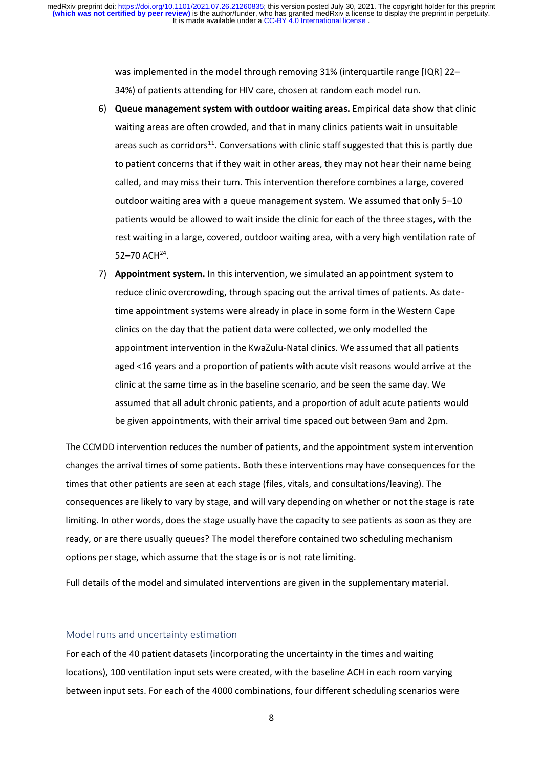was implemented in the model through removing 31% (interquartile range [IQR] 22– 34%) of patients attending for HIV care, chosen at random each model run.

- 6) **Queue management system with outdoor waiting areas.** Empirical data show that clinic waiting areas are often crowded, and that in many clinics patients wait in unsuitable areas such as corridors<sup>11</sup>. Conversations with clinic staff suggested that this is partly due to patient concerns that if they wait in other areas, they may not hear their name being called, and may miss their turn. This intervention therefore combines a large, covered outdoor waiting area with a queue management system. We assumed that only 5–10 patients would be allowed to wait inside the clinic for each of the three stages, with the rest waiting in a large, covered, outdoor waiting area, with a very high ventilation rate of  $52 - 70$  ACH<sup>24</sup>.
- 7) **Appointment system.** In this intervention, we simulated an appointment system to reduce clinic overcrowding, through spacing out the arrival times of patients. As datetime appointment systems were already in place in some form in the Western Cape clinics on the day that the patient data were collected, we only modelled the appointment intervention in the KwaZulu-Natal clinics. We assumed that all patients aged <16 years and a proportion of patients with acute visit reasons would arrive at the clinic at the same time as in the baseline scenario, and be seen the same day. We assumed that all adult chronic patients, and a proportion of adult acute patients would be given appointments, with their arrival time spaced out between 9am and 2pm.

The CCMDD intervention reduces the number of patients, and the appointment system intervention changes the arrival times of some patients. Both these interventions may have consequences for the times that other patients are seen at each stage (files, vitals, and consultations/leaving). The consequences are likely to vary by stage, and will vary depending on whether or not the stage is rate limiting. In other words, does the stage usually have the capacity to see patients as soon as they are ready, or are there usually queues? The model therefore contained two scheduling mechanism options per stage, which assume that the stage is or is not rate limiting.

Full details of the model and simulated interventions are given in the supplementary material.

#### Model runs and uncertainty estimation

For each of the 40 patient datasets (incorporating the uncertainty in the times and waiting locations), 100 ventilation input sets were created, with the baseline ACH in each room varying between input sets. For each of the 4000 combinations, four different scheduling scenarios were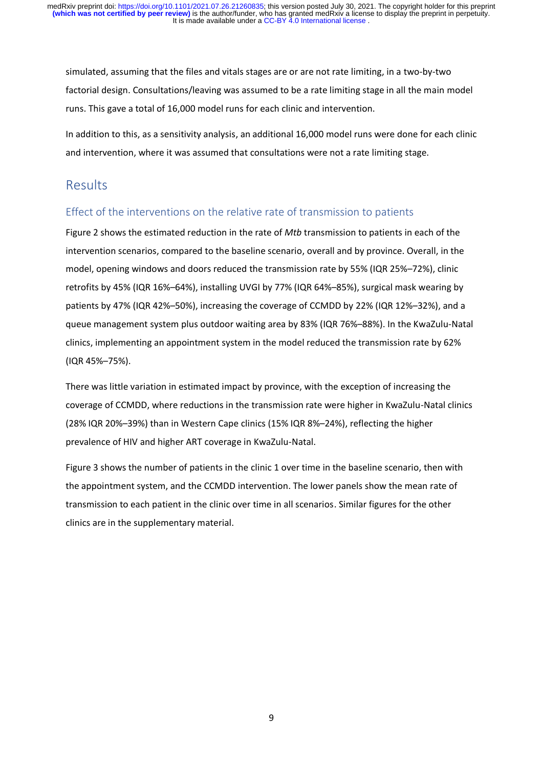simulated, assuming that the files and vitals stages are or are not rate limiting, in a two-by-two factorial design. Consultations/leaving was assumed to be a rate limiting stage in all the main model runs. This gave a total of 16,000 model runs for each clinic and intervention.

In addition to this, as a sensitivity analysis, an additional 16,000 model runs were done for each clinic and intervention, where it was assumed that consultations were not a rate limiting stage.

# Results

## Effect of the interventions on the relative rate of transmission to patients

Figure 2 shows the estimated reduction in the rate of *Mtb* transmission to patients in each of the intervention scenarios, compared to the baseline scenario, overall and by province. Overall, in the model, opening windows and doors reduced the transmission rate by 55% (IQR 25%–72%), clinic retrofits by 45% (IQR 16%–64%), installing UVGI by 77% (IQR 64%–85%), surgical mask wearing by patients by 47% (IQR 42%–50%), increasing the coverage of CCMDD by 22% (IQR 12%–32%), and a queue management system plus outdoor waiting area by 83% (IQR 76%–88%). In the KwaZulu-Natal clinics, implementing an appointment system in the model reduced the transmission rate by 62% (IQR 45%–75%).

There was little variation in estimated impact by province, with the exception of increasing the coverage of CCMDD, where reductions in the transmission rate were higher in KwaZulu-Natal clinics (28% IQR 20%–39%) than in Western Cape clinics (15% IQR 8%–24%), reflecting the higher prevalence of HIV and higher ART coverage in KwaZulu-Natal.

Figure 3 shows the number of patients in the clinic 1 over time in the baseline scenario, then with the appointment system, and the CCMDD intervention. The lower panels show the mean rate of transmission to each patient in the clinic over time in all scenarios. Similar figures for the other clinics are in the supplementary material.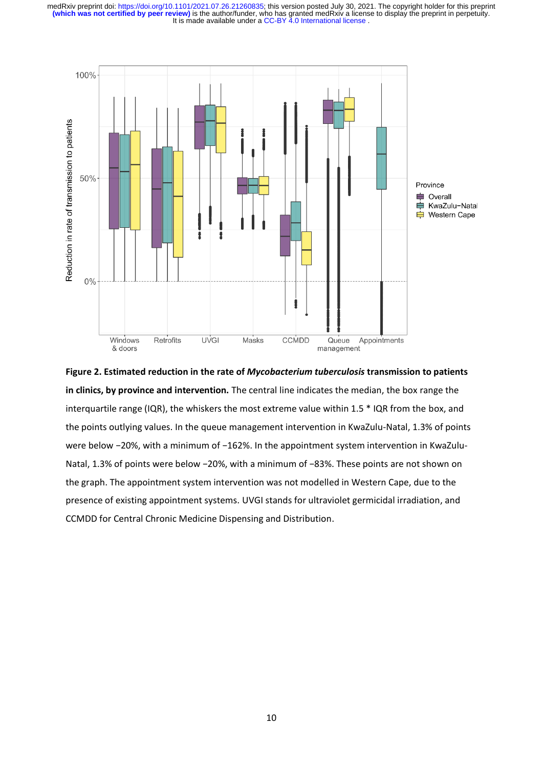

**Figure 2. Estimated reduction in the rate of** *Mycobacterium tuberculosis* **transmission to patients in clinics, by province and intervention.** The central line indicates the median, the box range the interquartile range (IQR), the whiskers the most extreme value within 1.5 \* IQR from the box, and the points outlying values. In the queue management intervention in KwaZulu-Natal, 1.3% of points were below −20%, with a minimum of −162%. In the appointment system intervention in KwaZulu-Natal, 1.3% of points were below −20%, with a minimum of −83%. These points are not shown on the graph. The appointment system intervention was not modelled in Western Cape, due to the presence of existing appointment systems. UVGI stands for ultraviolet germicidal irradiation, and CCMDD for Central Chronic Medicine Dispensing and Distribution.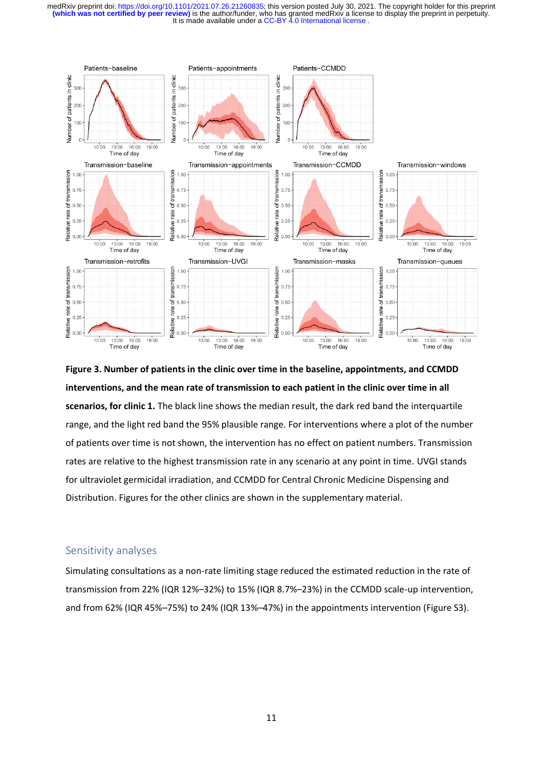

**Figure 3. Number of patients in the clinic over time in the baseline, appointments, and CCMDD interventions, and the mean rate of transmission to each patient in the clinic over time in all scenarios, for clinic 1.** The black line shows the median result, the dark red band the interquartile range, and the light red band the 95% plausible range. For interventions where a plot of the number of patients over time is not shown, the intervention has no effect on patient numbers. Transmission rates are relative to the highest transmission rate in any scenario at any point in time. UVGI stands for ultraviolet germicidal irradiation, and CCMDD for Central Chronic Medicine Dispensing and Distribution. Figures for the other clinics are shown in the supplementary material.

## Sensitivity analyses

Simulating consultations as a non-rate limiting stage reduced the estimated reduction in the rate of transmission from 22% (IQR 12%–32%) to 15% (IQR 8.7%–23%) in the CCMDD scale-up intervention, and from 62% (IQR 45%–75%) to 24% (IQR 13%–47%) in the appointments intervention (Figure S3).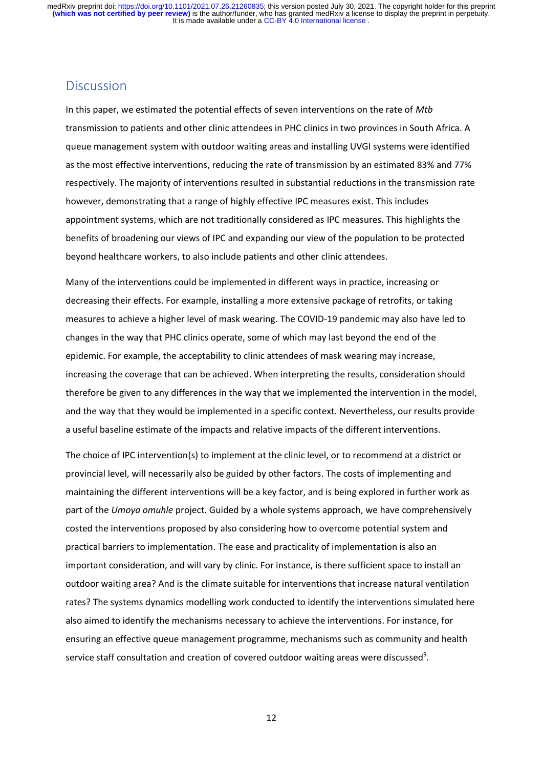## **Discussion**

In this paper, we estimated the potential effects of seven interventions on the rate of *Mtb*  transmission to patients and other clinic attendees in PHC clinics in two provinces in South Africa. A queue management system with outdoor waiting areas and installing UVGI systems were identified as the most effective interventions, reducing the rate of transmission by an estimated 83% and 77% respectively. The majority of interventions resulted in substantial reductions in the transmission rate however, demonstrating that a range of highly effective IPC measures exist. This includes appointment systems, which are not traditionally considered as IPC measures. This highlights the benefits of broadening our views of IPC and expanding our view of the population to be protected beyond healthcare workers, to also include patients and other clinic attendees.

Many of the interventions could be implemented in different ways in practice, increasing or decreasing their effects. For example, installing a more extensive package of retrofits, or taking measures to achieve a higher level of mask wearing. The COVID-19 pandemic may also have led to changes in the way that PHC clinics operate, some of which may last beyond the end of the epidemic. For example, the acceptability to clinic attendees of mask wearing may increase, increasing the coverage that can be achieved. When interpreting the results, consideration should therefore be given to any differences in the way that we implemented the intervention in the model, and the way that they would be implemented in a specific context. Nevertheless, our results provide a useful baseline estimate of the impacts and relative impacts of the different interventions.

The choice of IPC intervention(s) to implement at the clinic level, or to recommend at a district or provincial level, will necessarily also be guided by other factors. The costs of implementing and maintaining the different interventions will be a key factor, and is being explored in further work as part of the *Umoya omuhle* project. Guided by a whole systems approach, we have comprehensively costed the interventions proposed by also considering how to overcome potential system and practical barriers to implementation. The ease and practicality of implementation is also an important consideration, and will vary by clinic. For instance, is there sufficient space to install an outdoor waiting area? And is the climate suitable for interventions that increase natural ventilation rates? The systems dynamics modelling work conducted to identify the interventions simulated here also aimed to identify the mechanisms necessary to achieve the interventions. For instance, for ensuring an effective queue management programme, mechanisms such as community and health service staff consultation and creation of covered outdoor waiting areas were discussed<sup>9</sup>.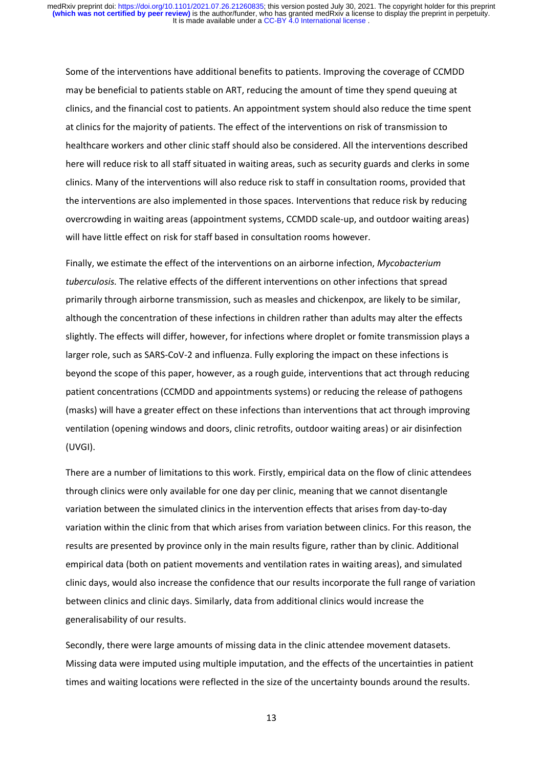Some of the interventions have additional benefits to patients. Improving the coverage of CCMDD may be beneficial to patients stable on ART, reducing the amount of time they spend queuing at clinics, and the financial cost to patients. An appointment system should also reduce the time spent at clinics for the majority of patients. The effect of the interventions on risk of transmission to healthcare workers and other clinic staff should also be considered. All the interventions described here will reduce risk to all staff situated in waiting areas, such as security guards and clerks in some clinics. Many of the interventions will also reduce risk to staff in consultation rooms, provided that the interventions are also implemented in those spaces. Interventions that reduce risk by reducing overcrowding in waiting areas (appointment systems, CCMDD scale-up, and outdoor waiting areas) will have little effect on risk for staff based in consultation rooms however.

Finally, we estimate the effect of the interventions on an airborne infection, *Mycobacterium tuberculosis.* The relative effects of the different interventions on other infections that spread primarily through airborne transmission, such as measles and chickenpox, are likely to be similar, although the concentration of these infections in children rather than adults may alter the effects slightly. The effects will differ, however, for infections where droplet or fomite transmission plays a larger role, such as SARS-CoV-2 and influenza. Fully exploring the impact on these infections is beyond the scope of this paper, however, as a rough guide, interventions that act through reducing patient concentrations (CCMDD and appointments systems) or reducing the release of pathogens (masks) will have a greater effect on these infections than interventions that act through improving ventilation (opening windows and doors, clinic retrofits, outdoor waiting areas) or air disinfection (UVGI).

There are a number of limitations to this work. Firstly, empirical data on the flow of clinic attendees through clinics were only available for one day per clinic, meaning that we cannot disentangle variation between the simulated clinics in the intervention effects that arises from day-to-day variation within the clinic from that which arises from variation between clinics. For this reason, the results are presented by province only in the main results figure, rather than by clinic. Additional empirical data (both on patient movements and ventilation rates in waiting areas), and simulated clinic days, would also increase the confidence that our results incorporate the full range of variation between clinics and clinic days. Similarly, data from additional clinics would increase the generalisability of our results.

Secondly, there were large amounts of missing data in the clinic attendee movement datasets. Missing data were imputed using multiple imputation, and the effects of the uncertainties in patient times and waiting locations were reflected in the size of the uncertainty bounds around the results.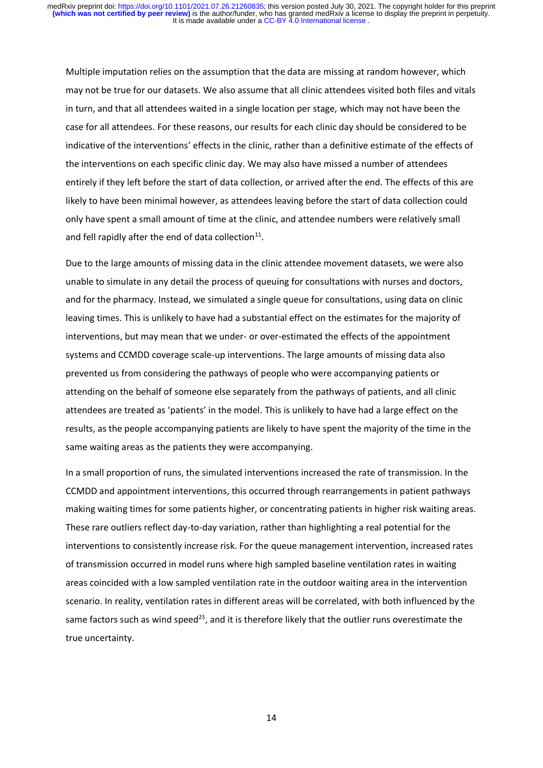Multiple imputation relies on the assumption that the data are missing at random however, which may not be true for our datasets. We also assume that all clinic attendees visited both files and vitals in turn, and that all attendees waited in a single location per stage, which may not have been the case for all attendees. For these reasons, our results for each clinic day should be considered to be indicative of the interventions' effects in the clinic, rather than a definitive estimate of the effects of the interventions on each specific clinic day. We may also have missed a number of attendees entirely if they left before the start of data collection, or arrived after the end. The effects of this are likely to have been minimal however, as attendees leaving before the start of data collection could only have spent a small amount of time at the clinic, and attendee numbers were relatively small and fell rapidly after the end of data collection $^{11}$ .

Due to the large amounts of missing data in the clinic attendee movement datasets, we were also unable to simulate in any detail the process of queuing for consultations with nurses and doctors, and for the pharmacy. Instead, we simulated a single queue for consultations, using data on clinic leaving times. This is unlikely to have had a substantial effect on the estimates for the majority of interventions, but may mean that we under- or over-estimated the effects of the appointment systems and CCMDD coverage scale-up interventions. The large amounts of missing data also prevented us from considering the pathways of people who were accompanying patients or attending on the behalf of someone else separately from the pathways of patients, and all clinic attendees are treated as 'patients' in the model. This is unlikely to have had a large effect on the results, as the people accompanying patients are likely to have spent the majority of the time in the same waiting areas as the patients they were accompanying.

In a small proportion of runs, the simulated interventions increased the rate of transmission. In the CCMDD and appointment interventions, this occurred through rearrangements in patient pathways making waiting times for some patients higher, or concentrating patients in higher risk waiting areas. These rare outliers reflect day-to-day variation, rather than highlighting a real potential for the interventions to consistently increase risk. For the queue management intervention, increased rates of transmission occurred in model runs where high sampled baseline ventilation rates in waiting areas coincided with a low sampled ventilation rate in the outdoor waiting area in the intervention scenario. In reality, ventilation rates in different areas will be correlated, with both influenced by the same factors such as wind speed<sup>25</sup>, and it is therefore likely that the outlier runs overestimate the true uncertainty.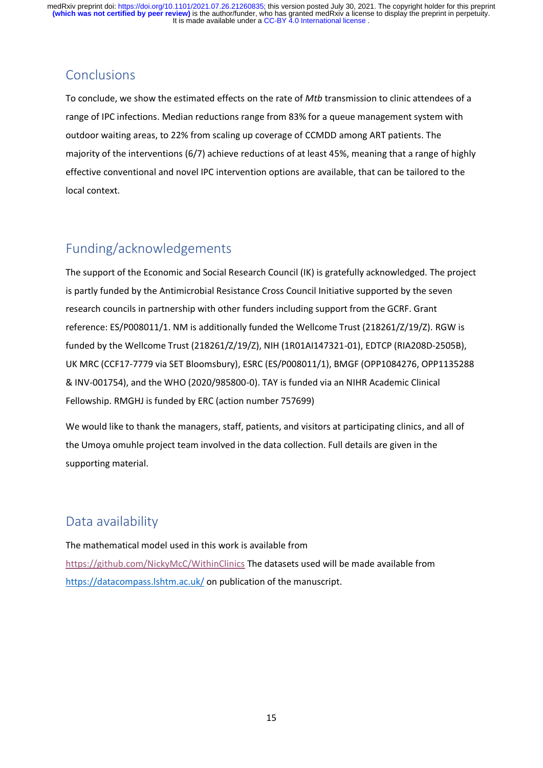# **Conclusions**

To conclude, we show the estimated effects on the rate of *Mtb* transmission to clinic attendees of a range of IPC infections. Median reductions range from 83% for a queue management system with outdoor waiting areas, to 22% from scaling up coverage of CCMDD among ART patients. The majority of the interventions (6/7) achieve reductions of at least 45%, meaning that a range of highly effective conventional and novel IPC intervention options are available, that can be tailored to the local context.

# Funding/acknowledgements

The support of the Economic and Social Research Council (IK) is gratefully acknowledged. The project is partly funded by the Antimicrobial Resistance Cross Council Initiative supported by the seven research councils in partnership with other funders including support from the GCRF. Grant reference: ES/P008011/1. NM is additionally funded the Wellcome Trust (218261/Z/19/Z). RGW is funded by the Wellcome Trust (218261/Z/19/Z), NIH (1R01AI147321-01), EDTCP (RIA208D-2505B), UK MRC (CCF17-7779 via SET Bloomsbury), ESRC (ES/P008011/1), BMGF (OPP1084276, OPP1135288 & INV-001754), and the WHO (2020/985800-0). TAY is funded via an NIHR Academic Clinical Fellowship. RMGHJ is funded by ERC (action number 757699)

We would like to thank the managers, staff, patients, and visitors at participating clinics, and all of the Umoya omuhle project team involved in the data collection. Full details are given in the supporting material.

# Data availability

The mathematical model used in this work is available from <https://github.com/NickyMcC/WithinClinics> The datasets used will be made available from <https://datacompass.lshtm.ac.uk/> on publication of the manuscript.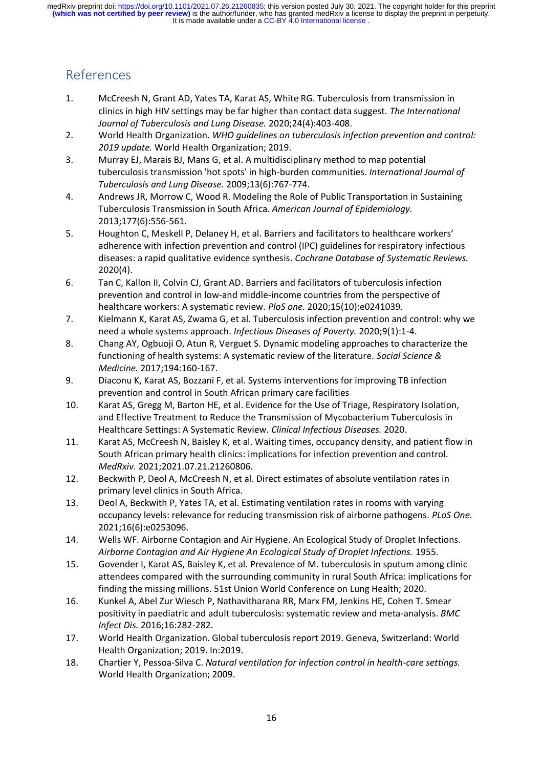# References

- 1. McCreesh N, Grant AD, Yates TA, Karat AS, White RG. Tuberculosis from transmission in clinics in high HIV settings may be far higher than contact data suggest. *The International Journal of Tuberculosis and Lung Disease.* 2020;24(4):403-408.
- 2. World Health Organization. *WHO guidelines on tuberculosis infection prevention and control: 2019 update.* World Health Organization; 2019.
- 3. Murray EJ, Marais BJ, Mans G, et al. A multidisciplinary method to map potential tuberculosis transmission 'hot spots' in high-burden communities. *International Journal of Tuberculosis and Lung Disease.* 2009;13(6):767-774.
- 4. Andrews JR, Morrow C, Wood R. Modeling the Role of Public Transportation in Sustaining Tuberculosis Transmission in South Africa. *American Journal of Epidemiology.*  2013;177(6):556-561.
- 5. Houghton C, Meskell P, Delaney H, et al. Barriers and facilitators to healthcare workers' adherence with infection prevention and control (IPC) guidelines for respiratory infectious diseases: a rapid qualitative evidence synthesis. *Cochrane Database of Systematic Reviews.*  2020(4).
- 6. Tan C, Kallon II, Colvin CJ, Grant AD. Barriers and facilitators of tuberculosis infection prevention and control in low-and middle-income countries from the perspective of healthcare workers: A systematic review. *PloS one.* 2020;15(10):e0241039.
- 7. Kielmann K, Karat AS, Zwama G, et al. Tuberculosis infection prevention and control: why we need a whole systems approach. *Infectious Diseases of Poverty.* 2020;9(1):1-4.
- 8. Chang AY, Ogbuoji O, Atun R, Verguet S. Dynamic modeling approaches to characterize the functioning of health systems: A systematic review of the literature. *Social Science & Medicine.* 2017;194:160-167.
- 9. Diaconu K, Karat AS, Bozzani F, et al. Systems interventions for improving TB infection prevention and control in South African primary care facilities
- 10. Karat AS, Gregg M, Barton HE, et al. Evidence for the Use of Triage, Respiratory Isolation, and Effective Treatment to Reduce the Transmission of Mycobacterium Tuberculosis in Healthcare Settings: A Systematic Review. *Clinical Infectious Diseases.* 2020.
- 11. Karat AS, McCreesh N, Baisley K, et al. Waiting times, occupancy density, and patient flow in South African primary health clinics: implications for infection prevention and control. *MedRxiv.* 2021;2021.07.21.21260806.
- 12. Beckwith P, Deol A, McCreesh N, et al. Direct estimates of absolute ventilation rates in primary level clinics in South Africa.
- 13. Deol A, Beckwith P, Yates TA, et al. Estimating ventilation rates in rooms with varying occupancy levels: relevance for reducing transmission risk of airborne pathogens. *PLoS One.*  2021;16(6):e0253096.
- 14. Wells WF. Airborne Contagion and Air Hygiene. An Ecological Study of Droplet Infections. *Airborne Contagion and Air Hygiene An Ecological Study of Droplet Infections.* 1955.
- 15. Govender I, Karat AS, Baisley K, et al. Prevalence of M. tuberculosis in sputum among clinic attendees compared with the surrounding community in rural South Africa: implications for finding the missing millions. 51st Union World Conference on Lung Health; 2020.
- 16. Kunkel A, Abel Zur Wiesch P, Nathavitharana RR, Marx FM, Jenkins HE, Cohen T. Smear positivity in paediatric and adult tuberculosis: systematic review and meta-analysis. *BMC Infect Dis.* 2016;16:282-282.
- 17. World Health Organization. Global tuberculosis report 2019. Geneva, Switzerland: World Health Organization; 2019. In:2019.
- 18. Chartier Y, Pessoa-Silva C. *Natural ventilation for infection control in health-care settings.* World Health Organization; 2009.